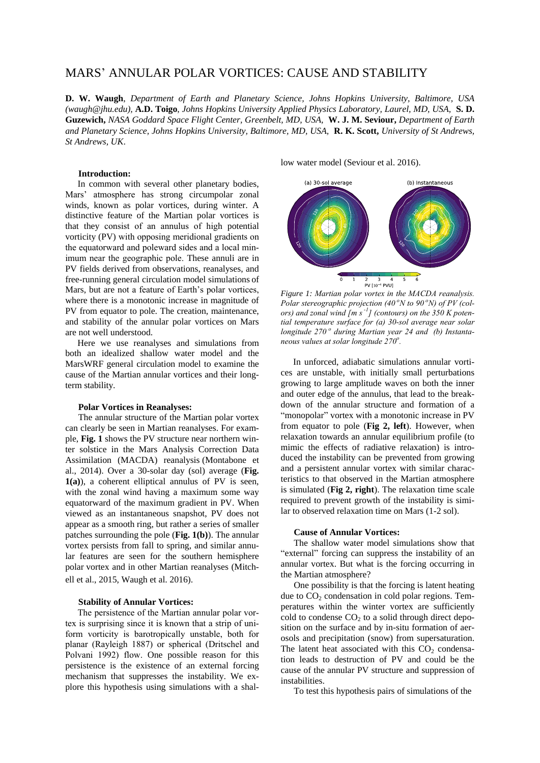# MARS' ANNULAR POLAR VORTICES: CAUSE AND STABILITY

**D. W. Waugh**, *Department of Earth and Planetary Science, Johns Hopkins University, Baltimore, USA (waugh@jhu.edu),* **A.D. Toigo**, *Johns Hopkins University Applied Physics Laboratory, Laurel, MD, USA,* **S. D. Guzewich,** *NASA Goddard Space Flight Center, Greenbelt, MD, USA,* **W. J. M. Seviour,** *Department of Earth and Planetary Science, Johns Hopkins University, Baltimore, MD, USA,* **R. K. Scott,** *University of St Andrews, St Andrews, UK*.

## **Introduction:**

In common with several other planetary bodies, Mars' atmosphere has strong circumpolar zonal winds, known as polar vortices, during winter. A distinctive feature of the Martian polar vortices is that they consist of an annulus of high potential vorticity (PV) with opposing meridional gradients on the equatorward and poleward sides and a local minimum near the geographic pole. These annuli are in PV fields derived from observations, reanalyses, and free-running general circulation model simulations of Mars, but are not a feature of Earth's polar vortices, where there is a monotonic increase in magnitude of PV from equator to pole. The creation, maintenance, and stability of the annular polar vortices on Mars are not well understood.

Here we use reanalyses and simulations from both an idealized shallow water model and the MarsWRF general circulation model to examine the cause of the Martian annular vortices and their longterm stability.

## **Polar Vortices in Reanalyses:**

The annular structure of the Martian polar vortex can clearly be seen in Martian reanalyses. For example, **Fig. 1** shows the PV structure near northern winter solstice in the Mars Analysis Correction Data Assimilation (MACDA) reanalysis (Montabone et al., 2014). Over a 30-solar day (sol) average (**Fig. 1(a)**), a coherent elliptical annulus of PV is seen, with the zonal wind having a maximum some way equatorward of the maximum gradient in PV. When viewed as an instantaneous snapshot, PV does not appear as a smooth ring, but rather a series of smaller patches surrounding the pole (**Fig. 1(b)**). The annular vortex persists from fall to spring, and similar annular features are seen for the southern hemisphere polar vortex and in other Martian reanalyses (Mitchell et al., 2015, Waugh et al. 2016).

## **Stability of Annular Vortices:**

The persistence of the Martian annular polar vortex is surprising since it is known that a strip of uniform vorticity is barotropically unstable, both for planar (Rayleigh 1887) or spherical (Dritschel and Polvani 1992) flow. One possible reason for this persistence is the existence of an external forcing mechanism that suppresses the instability. We explore this hypothesis using simulations with a shallow water model (Seviour et al. 2016).



<sup>PV [10<sup>-1</sup> PVU]<br>*Figure 1: Martian polar vortex in the MACDA reanalysis.*<br>*Polar stereographic projection (40* <sup>*o</sup>N to 90* <sup>*o*</sup>*N) of PV (col-*</sup></sup> *Figure 1: Martian polar vortex in the MACDA reanalysis.*<br>*Polar stereographic projection (40* °N to 90 °N) of PV (col-<br>ors) and zonal wind [m s<sup>-1</sup>] (contours) on the 350 K potential temperature surface for (a) 30-sol average near solar longitude 270<sup>°</sup> during Martian year 24 and (b) Instantafial temperature surface for (a) 30-sol average near solar<br>longitude 270<sup>°</sup> during Martian year 24 and (b) Instanta-<br>neous values at solar longitude 270<sup>o</sup>. *Figure 1: Martian polar vortex in the MACDA reanalysis.* 

from equator to pole (Fig 2, left). However, when In unforced, adiabatic simulations annular vortices are unstable, with initially small perturbations growing to large amplitude waves on both the inner and outer edge of the annulus, that lead to the breakdown of the annular structure and formation of a "monopolar" vortex with a monotonic increase in PV relaxation towards an annular equilibrium profile (to mimic the effects of radiative relaxation) is introduced the instability can be prevented from growing and a persistent annular vortex with similar characteristics to that observed in the Martian atmosphere is simulated (**Fig 2, right**). The relaxation time scale required to prevent growth of the instability is similar to observed relaxation time on Mars (1-2 sol).

## **Cause of Annular Vortices:**

The shallow water model simulations show that "external" forcing can suppress the instability of an annular vortex. But what is the forcing occurring in the Martian atmosphere?

One possibility is that the forcing is latent heating due to  $CO<sub>2</sub>$  condensation in cold polar regions. Temperatures within the winter vortex are sufficiently cold to condense  $CO<sub>2</sub>$  to a solid through direct deposition on the surface and by in-situ formation of aerosols and precipitation (snow) from supersaturation. The latent heat associated with this  $CO<sub>2</sub>$  condensation leads to destruction of PV and could be the cause of the annular PV structure and suppression of instabilities.

To test this hypothesis pairs of simulations of the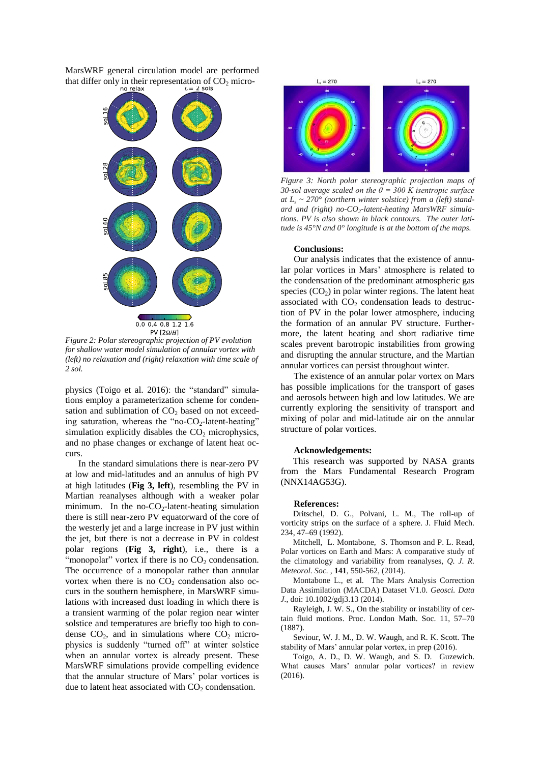MarsWRF general circulation model are performed that differ only in their representation of  $CO_2$  micro-<br>no relax<br> $t_r = 2$  sols



*Figure 2: Polar stereographic projection of PV evolution for shallow water model simulation of annular vortex with (left) no relaxation and (right) relaxation with time scale of 2 sol.*

physics (Toigo et al. 2016): the "standard" simulations employ a parameterization scheme for condensation and sublimation of  $CO<sub>2</sub>$  based on not exceeding saturation, whereas the "no- $CO<sub>2</sub>$ -latent-heating" simulation explicitly disables the  $CO<sub>2</sub>$  microphysics, and no phase changes or exchange of latent heat occurs.

In the standard simulations there is near-zero PV at low and mid-latitudes and an annulus of high PV at high latitudes (**Fig 3, left**), resembling the PV in Martian reanalyses although with a weaker polar minimum. In the no- $CO<sub>2</sub>$ -latent-heating simulation there is still near-zero PV equatorward of the core of the westerly jet and a large increase in PV just within the jet, but there is not a decrease in PV in coldest polar regions (**Fig 3, right**), i.e., there is a "monopolar" vortex if there is no  $CO<sub>2</sub>$  condensation. The occurrence of a monopolar rather than annular vortex when there is no  $CO<sub>2</sub>$  condensation also occurs in the southern hemisphere, in MarsWRF simulations with increased dust loading in which there is a transient warming of the polar region near winter solstice and temperatures are briefly too high to condense  $CO<sub>2</sub>$ , and in simulations where  $CO<sub>2</sub>$  microphysics is suddenly "turned off" at winter solstice when an annular vortex is already present. These MarsWRF simulations provide compelling evidence that the annular structure of Mars' polar vortices is due to latent heat associated with  $CO<sub>2</sub>$  condensation.



*Figure 3: North polar stereographic projection maps of 30-sol average scaled on the θ = 300 K isentropic surface at L<sup>s</sup> ~ 270° (northern winter solstice) from a (left) standard and (right) no-CO2-latent-heating MarsWRF simulations. PV is also shown in black contours. The outer latitude is 45°N and 0° longitude is at the bottom of the maps.*

#### **Conclusions:**

Our analysis indicates that the existence of annular polar vortices in Mars' atmosphere is related to the condensation of the predominant atmospheric gas species  $(CO<sub>2</sub>)$  in polar winter regions. The latent heat associated with  $CO<sub>2</sub>$  condensation leads to destruction of PV in the polar lower atmosphere, inducing the formation of an annular PV structure. Furthermore, the latent heating and short radiative time scales prevent barotropic instabilities from growing and disrupting the annular structure, and the Martian annular vortices can persist throughout winter.

The existence of an annular polar vortex on Mars has possible implications for the transport of gases and aerosols between high and low latitudes. We are currently exploring the sensitivity of transport and mixing of polar and mid-latitude air on the annular structure of polar vortices.

#### **Acknowledgements:**

This research was supported by NASA grants from the Mars Fundamental Research Program (NNX14AG53G).

## **References:**

Dritschel, D. G., Polvani, L. M., The roll-up of vorticity strips on the surface of a sphere. J. Fluid Mech. 234, 47–69 (1992).

Mitchell, L. Montabone, S. Thomson and P. L. Read, Polar vortices on Earth and Mars: A comparative study of the climatology and variability from reanalyses, *Q. J. R. Meteorol. Soc.* , **141**, 550-562, (2014).

Montabone L., et al. The Mars Analysis Correction Data Assimilation (MACDA) Dataset V1.0. *Geosci. Data J.*, doi: 10.1002/gdj3.13 (2014).

Rayleigh, J. W. S., On the stability or instability of certain fluid motions. Proc. London Math. Soc. 11, 57–70 (1887).

Seviour, W. J. M., D. W. Waugh, and R. K. Scott. The stability of Mars' annular polar vortex, in prep (2016).

Toigo, A. D., D. W. Waugh, and S. D. Guzewich. What causes Mars' annular polar vortices? in review  $(2016)$ .